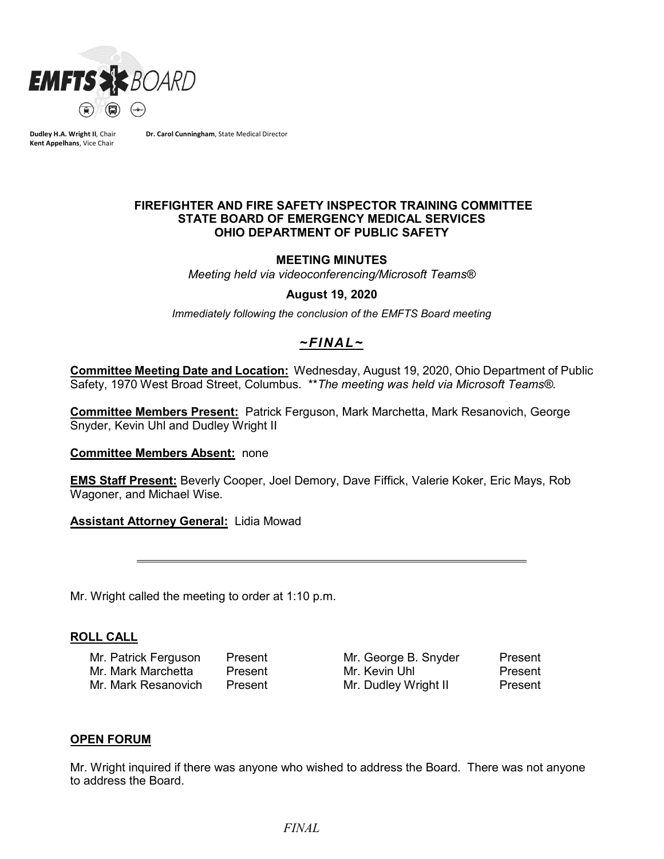

**Dudley H.A. Wright II**, Chair **Kent Appelhans**, Vice Chair

**Dr. Carol Cunningham**, State Medical Director

### **FIREFIGHTER AND FIRE SAFETY INSPECTOR TRAINING COMMITTEE STATE BOARD OF EMERGENCY MEDICAL SERVICES OHIO DEPARTMENT OF PUBLIC SAFETY**

### **MEETING MINUTES**

*Meeting held via videoconferencing/Microsoft Teams®*

#### **August 19, 2020**

*Immediately following the conclusion of the EMFTS Board meeting*

# *~FINAL~*

**Committee Meeting Date and Location:** Wednesday, August 19, 2020, Ohio Department of Public Safety, 1970 West Broad Street, Columbus. \*\**The meeting was held via Microsoft Teams®.*

**Committee Members Present:** Patrick Ferguson, Mark Marchetta, Mark Resanovich, George Snyder, Kevin Uhl and Dudley Wright II

#### **Committee Members Absent:** none

**EMS Staff Present:** Beverly Cooper, Joel Demory, Dave Fiffick, Valerie Koker, Eric Mays, Rob Wagoner, and Michael Wise.

**Assistant Attorney General:** Lidia Mowad

Mr. Wright called the meeting to order at 1:10 p.m.

### **ROLL CALL**

Mr. Patrick Ferguson Present Mr. George B. Snyder Present Mr. Mark Marchetta Present Mr. Kevin Uhl Present Mr. Mark Resanovich Present Mr. Dudley Wright II Present

### **OPEN FORUM**

Mr. Wright inquired if there was anyone who wished to address the Board. There was not anyone to address the Board.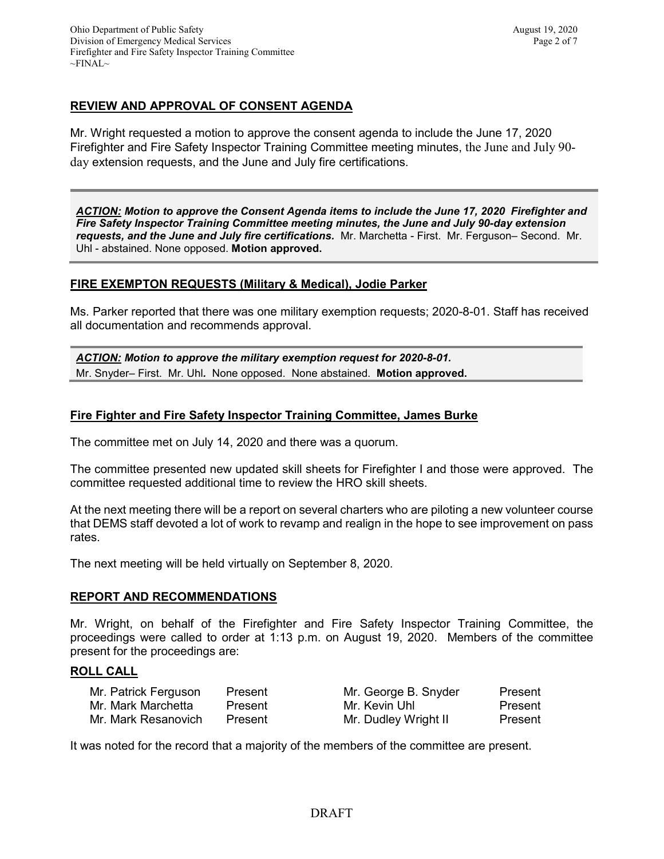# **REVIEW AND APPROVAL OF CONSENT AGENDA**

Mr. Wright requested a motion to approve the consent agenda to include the June 17, 2020 Firefighter and Fire Safety Inspector Training Committee meeting minutes, the June and July 90 day extension requests, and the June and July fire certifications.

*ACTION: Motion to approve the Consent Agenda items to include the June 17, 2020 Firefighter and Fire Safety Inspector Training Committee meeting minutes, the June and July 90-day extension requests, and the June and July fire certifications.* Mr. Marchetta - First. Mr. Ferguson– Second. Mr. Uhl - abstained. None opposed. **Motion approved.**

### **FIRE EXEMPTON REQUESTS (Military & Medical), Jodie Parker**

Ms. Parker reported that there was one military exemption requests; 2020-8-01. Staff has received all documentation and recommends approval.

*ACTION: Motion to approve the military exemption request for 2020-8-01.*  Mr. Snyder– First. Mr. Uhl*.* None opposed. None abstained. **Motion approved.**

### **Fire Fighter and Fire Safety Inspector Training Committee, James Burke**

The committee met on July 14, 2020 and there was a quorum.

The committee presented new updated skill sheets for Firefighter I and those were approved. The committee requested additional time to review the HRO skill sheets.

At the next meeting there will be a report on several charters who are piloting a new volunteer course that DEMS staff devoted a lot of work to revamp and realign in the hope to see improvement on pass rates.

The next meeting will be held virtually on September 8, 2020.

### **REPORT AND RECOMMENDATIONS**

Mr. Wright, on behalf of the Firefighter and Fire Safety Inspector Training Committee, the proceedings were called to order at 1:13 p.m. on August 19, 2020. Members of the committee present for the proceedings are:

### **ROLL CALL**

| Mr. Patrick Ferguson | Present | Mr. George B. Snyder | Present |
|----------------------|---------|----------------------|---------|
| Mr. Mark Marchetta   | Present | Mr. Kevin Uhl        | Present |
| Mr. Mark Resanovich  | Present | Mr. Dudley Wright II | Present |

It was noted for the record that a majority of the members of the committee are present.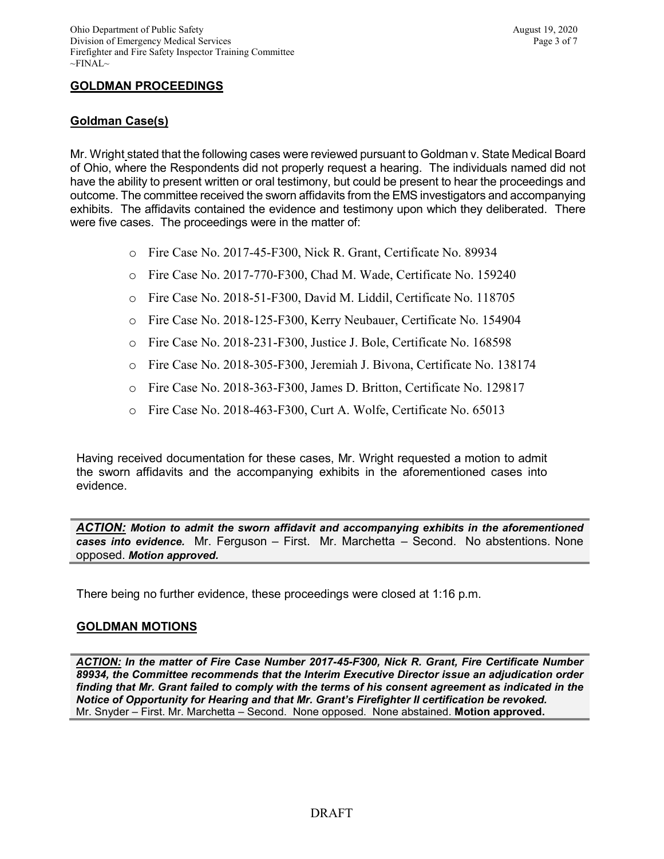## **GOLDMAN PROCEEDINGS**

### **Goldman Case(s)**

Mr. Wright stated that the following cases were reviewed pursuant to Goldman v. State Medical Board of Ohio, where the Respondents did not properly request a hearing. The individuals named did not have the ability to present written or oral testimony, but could be present to hear the proceedings and outcome. The committee received the sworn affidavits from the EMS investigators and accompanying exhibits. The affidavits contained the evidence and testimony upon which they deliberated. There were five cases. The proceedings were in the matter of:

- o Fire Case No. 2017-45-F300, Nick R. Grant, Certificate No. 89934
- o Fire Case No. 2017-770-F300, Chad M. Wade, Certificate No. 159240
- o Fire Case No. 2018-51-F300, David M. Liddil, Certificate No. 118705
- o Fire Case No. 2018-125-F300, Kerry Neubauer, Certificate No. 154904
- o Fire Case No. 2018-231-F300, Justice J. Bole, Certificate No. 168598
- o Fire Case No. 2018-305-F300, Jeremiah J. Bivona, Certificate No. 138174
- o Fire Case No. 2018-363-F300, James D. Britton, Certificate No. 129817
- o Fire Case No. 2018-463-F300, Curt A. Wolfe, Certificate No. 65013

Having received documentation for these cases, Mr. Wright requested a motion to admit the sworn affidavits and the accompanying exhibits in the aforementioned cases into evidence.

*ACTION: Motion to admit the sworn affidavit and accompanying exhibits in the aforementioned cases into evidence.* Mr. Ferguson – First. Mr. Marchetta – Second. No abstentions. None opposed. *Motion approved.* 

There being no further evidence, these proceedings were closed at 1:16 p.m.

### **GOLDMAN MOTIONS**

*ACTION: In the matter of Fire Case Number 2017-45-F300, Nick R. Grant, Fire Certificate Number 89934, the Committee recommends that the Interim Executive Director issue an adjudication order finding that Mr. Grant failed to comply with the terms of his consent agreement as indicated in the Notice of Opportunity for Hearing and that Mr. Grant's Firefighter II certification be revoked.* Mr. Snyder – First. Mr. Marchetta – Second. None opposed. None abstained. **Motion approved.**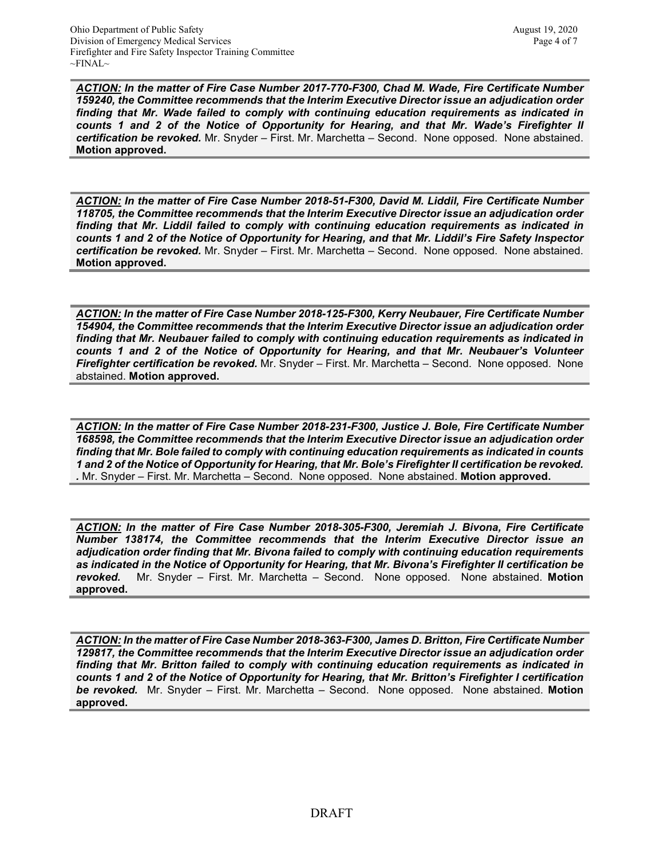*ACTION: In the matter of Fire Case Number 2017-770-F300, Chad M. Wade, Fire Certificate Number 159240, the Committee recommends that the Interim Executive Director issue an adjudication order finding that Mr. Wade failed to comply with continuing education requirements as indicated in counts 1 and 2 of the Notice of Opportunity for Hearing, and that Mr. Wade's Firefighter II certification be revoked.* Mr. Snyder – First. Mr. Marchetta – Second. None opposed. None abstained. **Motion approved.** 

*ACTION: In the matter of Fire Case Number 2018-51-F300, David M. Liddil, Fire Certificate Number 118705, the Committee recommends that the Interim Executive Director issue an adjudication order finding that Mr. Liddil failed to comply with continuing education requirements as indicated in counts 1 and 2 of the Notice of Opportunity for Hearing, and that Mr. Liddil's Fire Safety Inspector certification be revoked.* Mr. Snyder – First. Mr. Marchetta – Second. None opposed. None abstained. **Motion approved.** 

*ACTION: In the matter of Fire Case Number 2018-125-F300, Kerry Neubauer, Fire Certificate Number 154904, the Committee recommends that the Interim Executive Director issue an adjudication order finding that Mr. Neubauer failed to comply with continuing education requirements as indicated in counts 1 and 2 of the Notice of Opportunity for Hearing, and that Mr. Neubauer's Volunteer Firefighter certification be revoked.* Mr. Snyder – First. Mr. Marchetta – Second. None opposed. None abstained. **Motion approved.** 

*ACTION: In the matter of Fire Case Number 2018-231-F300, Justice J. Bole, Fire Certificate Number 168598, the Committee recommends that the Interim Executive Director issue an adjudication order finding that Mr. Bole failed to comply with continuing education requirements as indicated in counts 1 and 2 of the Notice of Opportunity for Hearing, that Mr. Bole's Firefighter II certification be revoked. .* Mr. Snyder – First. Mr. Marchetta – Second. None opposed. None abstained. **Motion approved.** 

*ACTION: In the matter of Fire Case Number 2018-305-F300, Jeremiah J. Bivona, Fire Certificate Number 138174, the Committee recommends that the Interim Executive Director issue an adjudication order finding that Mr. Bivona failed to comply with continuing education requirements as indicated in the Notice of Opportunity for Hearing, that Mr. Bivona's Firefighter II certification be revoked.* Mr. Snyder – First. Mr. Marchetta – Second. None opposed. None abstained. **Motion approved.** 

*ACTION: In the matter of Fire Case Number 2018-363-F300, James D. Britton, Fire Certificate Number 129817, the Committee recommends that the Interim Executive Director issue an adjudication order finding that Mr. Britton failed to comply with continuing education requirements as indicated in counts 1 and 2 of the Notice of Opportunity for Hearing, that Mr. Britton's Firefighter I certification be revoked.* Mr. Snyder – First. Mr. Marchetta – Second. None opposed. None abstained. **Motion approved.**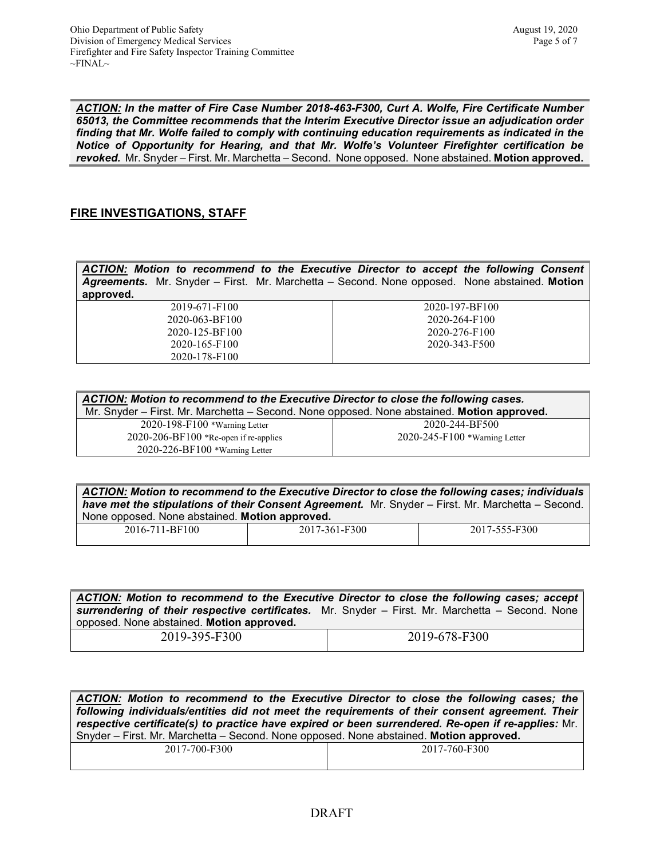*ACTION: In the matter of Fire Case Number 2018-463-F300, Curt A. Wolfe, Fire Certificate Number 65013, the Committee recommends that the Interim Executive Director issue an adjudication order finding that Mr. Wolfe failed to comply with continuing education requirements as indicated in the Notice of Opportunity for Hearing, and that Mr. Wolfe's Volunteer Firefighter certification be revoked.* Mr. Snyder – First. Mr. Marchetta – Second. None opposed. None abstained. **Motion approved.** 

### **FIRE INVESTIGATIONS, STAFF**

*ACTION: Motion to recommend to the Executive Director to accept the following Consent Agreements.* Mr. Snyder – First. Mr. Marchetta – Second. None opposed. None abstained. **Motion approved.**  $2019-671-F100$ 2020-063-BF100 2020-197-BF100

2020-125-BF100 2020-165-F100 2020-178-F100

2020-264-F100 2020-276-F100 2020-343-F500

| ACTION: Motion to recommend to the Executive Director to close the following cases.<br>Mr. Snyder - First. Mr. Marchetta - Second. None opposed. None abstained. Motion approved. |                                     |  |
|-----------------------------------------------------------------------------------------------------------------------------------------------------------------------------------|-------------------------------------|--|
| $2020 - 198 - F100$ *Warning Letter                                                                                                                                               | 2020-244-BF500                      |  |
| $2020 - 206 - BF100$ *Re-open if re-applies                                                                                                                                       | $2020 - 245 - F100$ *Warning Letter |  |
| $2020 - 226 - BF100$ *Warning Letter                                                                                                                                              |                                     |  |

*ACTION: Motion to recommend to the Executive Director to close the following cases; individuals have met the stipulations of their Consent Agreement.* Mr. Snyder – First. Mr. Marchetta – Second. None opposed. None abstained. **Motion approved.**

| $100 -$<br>2016-<br><b>DE</b><br>.<br>$\sim$ $\sim$ $\sim$<br>_____ | F300<br>- - -<br>____ | -F300<br>.<br>າ ເ<br>ZUJ.<br>- 1 - 1<br>. .<br>_____ |
|---------------------------------------------------------------------|-----------------------|------------------------------------------------------|
|                                                                     |                       |                                                      |

|                                                                                                                                              | ACTION: Motion to recommend to the Executive Director to close the following cases; accept |
|----------------------------------------------------------------------------------------------------------------------------------------------|--------------------------------------------------------------------------------------------|
| surrendering of their respective certificates. Mr. Snyder - First. Mr. Marchetta - Second. None<br>opposed. None abstained. Motion approved. |                                                                                            |
| 2019-395-F300                                                                                                                                | 2019-678-F300                                                                              |

*ACTION: Motion to recommend to the Executive Director to close the following cases; the following individuals/entities did not meet the requirements of their consent agreement. Their respective certificate(s) to practice have expired or been surrendered. Re-open if re-applies:* Mr. Snyder – First. Mr. Marchetta – Second. None opposed. None abstained. **Motion approved.**

| 2017-700-F300 | 2017-760-F300 |
|---------------|---------------|
|               |               |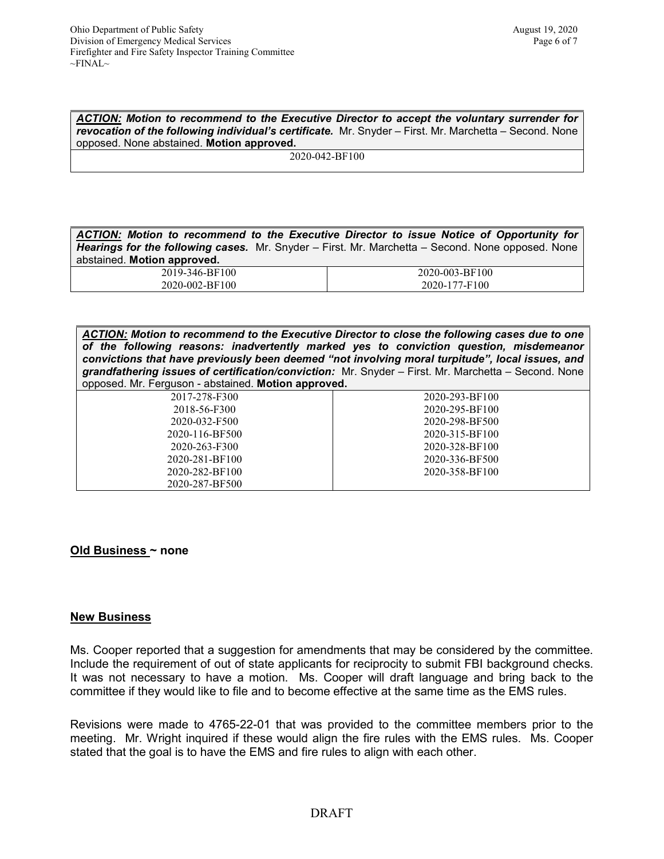*ACTION: Motion to recommend to the Executive Director to accept the voluntary surrender for revocation of the following individual's certificate.* Mr. Snyder – First. Mr. Marchetta – Second. None opposed. None abstained. **Motion approved.**

2020-042-BF100

*ACTION: Motion to recommend to the Executive Director to issue Notice of Opportunity for Hearings for the following cases.* Mr. Snyder – First. Mr. Marchetta – Second. None opposed. None abstained. **Motion approved.**

| 2019-346-BF100 | 2020-003-BF100 |
|----------------|----------------|
| 2020-002-BF100 | 2020-177-F100  |

*ACTION: Motion to recommend to the Executive Director to close the following cases due to one of the following reasons: inadvertently marked yes to conviction question, misdemeanor convictions that have previously been deemed "not involving moral turpitude", local issues, and grandfathering issues of certification/conviction:* Mr. Snyder – First. Mr. Marchetta – Second. None opposed. Mr. Ferguson - abstained. **Motion approved.**

| 2017-278-F300  | 2020-293-BF100 |
|----------------|----------------|
| 2018-56-F300   | 2020-295-BF100 |
| 2020-032-F500  | 2020-298-BF500 |
| 2020-116-BF500 | 2020-315-BF100 |
| 2020-263-F300  | 2020-328-BF100 |
| 2020-281-BF100 | 2020-336-BF500 |
| 2020-282-BF100 | 2020-358-BF100 |
| 2020-287-BF500 |                |

### **Old Business ~ none**

### **New Business**

Ms. Cooper reported that a suggestion for amendments that may be considered by the committee. Include the requirement of out of state applicants for reciprocity to submit FBI background checks. It was not necessary to have a motion. Ms. Cooper will draft language and bring back to the committee if they would like to file and to become effective at the same time as the EMS rules.

Revisions were made to 4765-22-01 that was provided to the committee members prior to the meeting. Mr. Wright inquired if these would align the fire rules with the EMS rules. Ms. Cooper stated that the goal is to have the EMS and fire rules to align with each other.